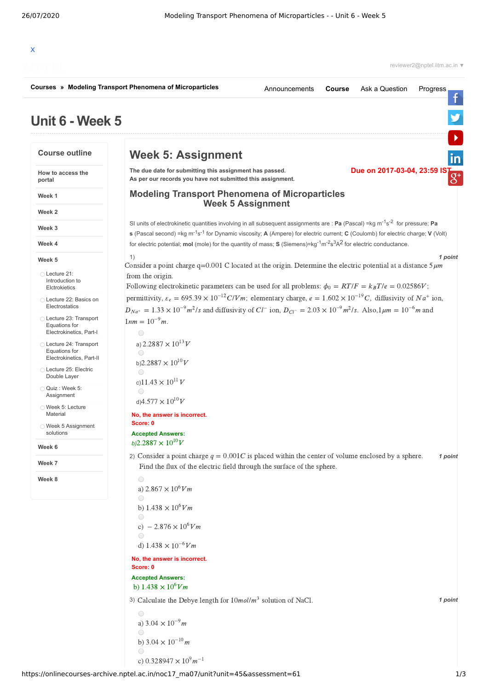|                                                                      | Courses » Modeling Transport Phenomena of Microparticles                                                                                                                                                                                                                                                         | Announcements            | Course | Ask a Question              | Progress |
|----------------------------------------------------------------------|------------------------------------------------------------------------------------------------------------------------------------------------------------------------------------------------------------------------------------------------------------------------------------------------------------------|--------------------------|--------|-----------------------------|----------|
| Unit 6 - Week 5                                                      |                                                                                                                                                                                                                                                                                                                  |                          |        |                             |          |
| <b>Course outline</b>                                                | <b>Week 5: Assignment</b>                                                                                                                                                                                                                                                                                        |                          |        |                             | in       |
| How to access the<br>portal                                          | The due date for submitting this assignment has passed.<br>As per our records you have not submitted this assignment.                                                                                                                                                                                            |                          |        | Due on 2017-03-04, 23:59 IS | $g^+$    |
| Week 1                                                               | <b>Modeling Transport Phenomena of Microparticles</b>                                                                                                                                                                                                                                                            | <b>Week 5 Assignment</b> |        |                             |          |
| Week 2                                                               |                                                                                                                                                                                                                                                                                                                  |                          |        |                             |          |
| Week 3                                                               | SI units of electrokinetic quantities involving in all subsequent assignments are : Pa (Pascal) = kg m <sup>-1</sup> s <sup>-2</sup> for pressure; Pa<br>s (Pascal second) =kg m <sup>-1</sup> s <sup>-1</sup> for Dynamic viscosity; A (Ampere) for electric current; C (Coulomb) for electric charge; V (Volt) |                          |        |                             |          |
| Week 4                                                               | for electric potential; mol (mole) for the quantity of mass; $S$ (Siemens)= $kg^{-1}m^{-2}s^3A^2$ for electric conductance.                                                                                                                                                                                      |                          |        |                             |          |
| Week 5                                                               | 1)<br>Consider a point charge $q=0.001$ C located at the origin. Determine the electric potential at a distance $5\mu m$                                                                                                                                                                                         |                          |        |                             | 1 point  |
| ◯ Lecture 21:<br>Introduction to<br>Elctrokietics                    | from the origin.<br>Following electrokinetic parameters can be used for all problems: $\phi_0 = RT/F = k_B T/e = 0.02586V$ ;                                                                                                                                                                                     |                          |        |                             |          |
| Lecture 22: Basics on<br>Electrostatics                              | permittivity, $\varepsilon_e = 695.39 \times 10^{-12} C/Vm$ ; elementary charge, $e = 1.602 \times 10^{-19} C$ , diffusivity of $Na^+$ ion,                                                                                                                                                                      |                          |        |                             |          |
| ◯ Lecture 23: Transport<br>Equations for<br>Electrokinetics, Part-I  | $D_{Na^+} = 1.33 \times 10^{-9} m^2$ /s and diffusivity of Cl <sup>-</sup> ion, $D_{Cl^-} = 2.03 \times 10^{-9} m^2$ /s. Also, $1 \mu m = 10^{-6} m$ and<br>$1nm = 10^{-9}m$ .<br>$\bigcirc$                                                                                                                     |                          |        |                             |          |
| ◯ Lecture 24: Transport<br>Equations for<br>Electrokinetics, Part-II | a) 2.2887 $\times$ 10 <sup>13</sup> V<br>$\bigcirc$<br>b)2.2887 $\times 10^{10}$ V                                                                                                                                                                                                                               |                          |        |                             |          |
| Lecture 25: Electric<br>Double Layer                                 | $\bigcirc$                                                                                                                                                                                                                                                                                                       |                          |        |                             |          |
| Quiz: Week 5:<br>Assignment                                          | c)11.43 $\times 10^{11}$ V<br>$\bigcirc$                                                                                                                                                                                                                                                                         |                          |        |                             |          |
| ○ Week 5: Lecture<br>Material                                        | d) $4.577 \times 10^{10} V$<br>No, the answer is incorrect.                                                                                                                                                                                                                                                      |                          |        |                             |          |
| ◯ Week 5 Assignment<br>solutions                                     | Score: 0<br><b>Accepted Answers:</b>                                                                                                                                                                                                                                                                             |                          |        |                             |          |
| Week 6                                                               | b)2.2887 $\times 10^{10}$ V                                                                                                                                                                                                                                                                                      |                          |        |                             |          |
| Week 7                                                               | 2) Consider a point charge $q = 0.001C$ is placed within the center of volume enclosed by a sphere.<br>Find the flux of the electric field through the surface of the sphere.                                                                                                                                    |                          |        |                             | 1 point  |
| Week 8                                                               | 0                                                                                                                                                                                                                                                                                                                |                          |        |                             |          |
|                                                                      | a) $2.867 \times 10^6 Vm$<br>$\bigcirc$                                                                                                                                                                                                                                                                          |                          |        |                             |          |
|                                                                      | b) $1.438 \times 10^6 Vm$<br>$\bigcirc$                                                                                                                                                                                                                                                                          |                          |        |                             |          |
|                                                                      | c) $-2.876 \times 10^6 Vm$<br>$\bigcirc$                                                                                                                                                                                                                                                                         |                          |        |                             |          |
|                                                                      | d) $1.438 \times 10^{-6} Vm$                                                                                                                                                                                                                                                                                     |                          |        |                             |          |
|                                                                      | No, the answer is incorrect.<br>Score: 0                                                                                                                                                                                                                                                                         |                          |        |                             |          |
|                                                                      | <b>Accepted Answers:</b><br>b) $1.438 \times 10^6 Vm$                                                                                                                                                                                                                                                            |                          |        |                             |          |
|                                                                      | 3) Calculate the Debye length for $10$ mol/m <sup>3</sup> solution of NaCl.                                                                                                                                                                                                                                      |                          |        |                             | 1 point  |
|                                                                      | $\bigcirc$<br>a) $3.04 \times 10^{-9}$ m                                                                                                                                                                                                                                                                         |                          |        |                             |          |
|                                                                      | $\bigcirc$                                                                                                                                                                                                                                                                                                       |                          |        |                             |          |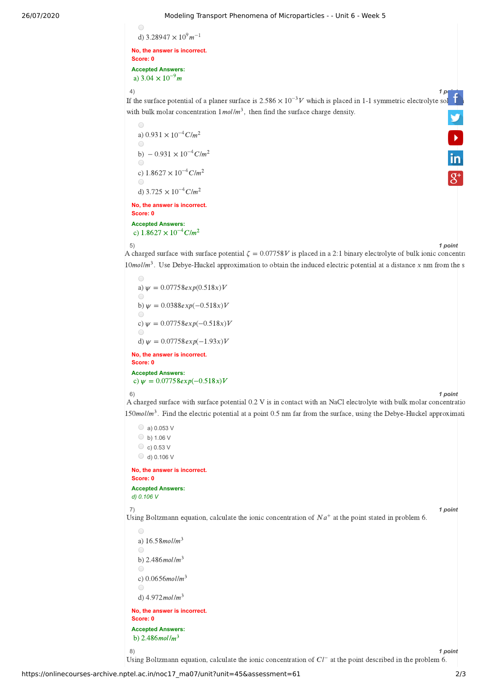## 26/07/2020 Modeling Transport Phenomena of Microparticles - - Unit 6 - Week 5

```
Modeling Tra\bullet<br>d) 3.28947 \times 10^9 m^{-1}\bigcirc
```
**No, the answer is incorrect. Score: 0 Score: 0<br>Accepted Answers:**<br>→ → 3 *O4*  $\sim 10^{-9}$  m a)  $3.04 \times 10^{-9}$ m

4) *1 point*

a)  $3.04 \times 10^{-7}$  m<br>
4)<br>If the surface potential of a planer surface is 2.586 × 10<sup>-3</sup> *V* which is placed in 1-1 symmetric electrolyte [solution](https://www.facebook.com/NPTELNoc/) with bulk molar concentration  $1 \text{mol/m}^3$ , then find the surface charge density. **V**<br>in

**No, the answer is incorrect. Score: 0 Accepted Answers:** o<br>
a)  $0.931 \times 10^{-4} C/m^2$ a) 0.931 × 10<sup>-4</sup>C/m<sup>2</sup><br>
→<br>
b) – 0.931 × 10<sup>-4</sup>C/m<sup>2</sup> b)  $-0.931 \times 10^{-4}$  C/m<sup>2</sup> b)  $-0.931 \times 10^{-4}$ C/m<br>
c)  $1.8627 \times 10^{-4}$ C/m<sup>2</sup> c) 1.8627 × 10<sup>-4</sup>C/m<sup>2</sup><br>
●<br>
d) 3.725 × 10<sup>-4</sup>C/m<sup>2</sup> Score: 0<br>Accepted Answers:<br>c)  $1.8627\times10^{-4} C/m^2$ 

5) *1 point*

A charged surface with surface potential  $\zeta = 0.07758V$  is placed in a 2:1 binary electrolyte of bulk ionic concentration  $10$  mol/ $m<sup>3</sup>$ . Use Debye-Huckel approximation to obtain the induced electric potential at a distance x nm from the s

**No, the answer is incorrect. Score: 0** a)  $w = 0.07758 \exp(0.518x)V$ **■**<br>a)  $\psi = 0.07758exp(0.518x)V$ <br>**■**<br>b)  $\psi = 0.0388exp(-0.518x)V$ **■**<br>b)  $\psi$  = 0.0388exp(-0.518x)V<br>**■**<br>c)  $\psi$  = 0.07758exp(-0.518x)V ©<br>
c)  $\psi = 0.07758exp(-0.518x)V$ <br>
d)  $\psi = 0.07758exp(-1.93x)V$ 

**Accepted Answers:** c)  $\psi = 0.07758exp(-0.518x)V$ 

## 6) *1 point*

A charged surface with surface potential 0.2 V is in contact with an NaCl electrolyte with bulk molar concentratio  $150$  mol/ $m<sup>3</sup>$ . Find the electric potential at a point 0.5 nm far from the surface, using the Debye-Huckel approximati

 $\circ$  a) 0.053 V  $\circ$  b) 1.06 V  $\circ$  c) 0.53 V  $O$  d) 0.106 V **No, the answer is incorrect. Score: 0**

**Accepted Answers:** *d) 0.106 V*

7) *1 point*

Using Boltzmann equation, calculate the ionic concentration of  $Na^+$  at the point stated in problem 6.

 $\bigcirc$ a)  $16.58$  mol/m<sup>3</sup>  $\bigcap$ b)  $2.486$ mol/m $3$  $\subset$ c)  $0.0656$ mol/m<sup>3</sup> d)  $4.972$ mol/m $3$ **No, the answer is incorrect. Score: 0 Accepted Answers:** b)  $2.486$ mol/m<sup>3</sup>

8) *1 point* 8)<br>Using Boltzmann equation, calculate the ionic concentration of  $Cl^-$  at the point described in the problem 6.